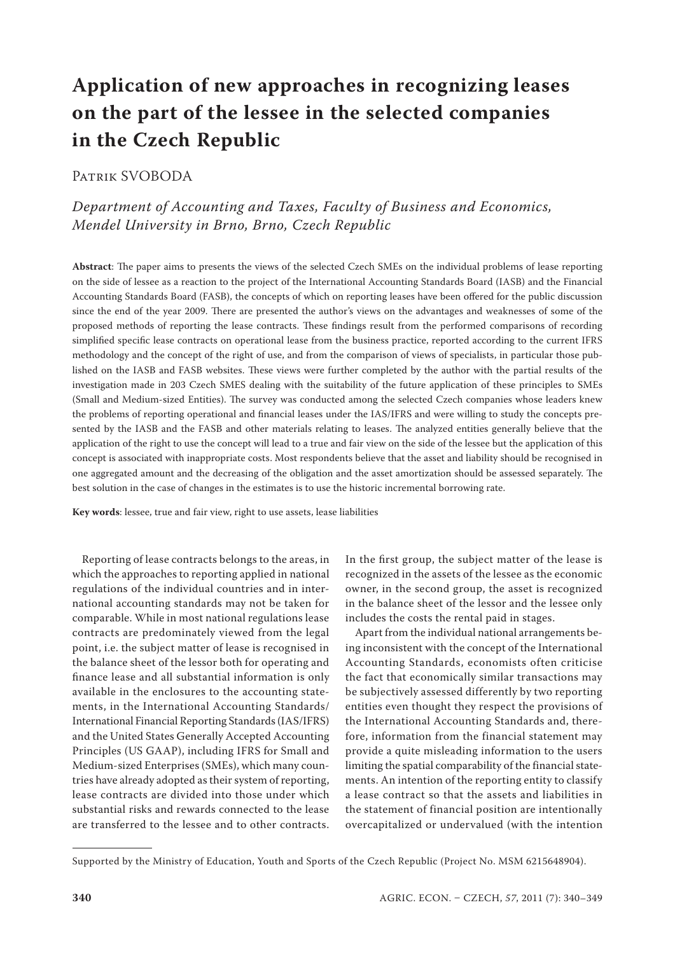# **Application of new approaches in recognizing leases on the part of the lessee in the selected companies in the Czech Republic**

### Patrik SVOBODA

## *Department of Accounting and Taxes, Faculty of Business and Economics, Mendel University in Brno, Brno, Czech Republic*

**Abstract**: The paper aims to presents the views of the selected Czech SMEs on the individual problems of lease reporting on the side of lessee as a reaction to the project of the International Accounting Standards Board (IASB) and the Financial Accounting Standards Board (FASB), the concepts of which on reporting leases have been offered for the public discussion since the end of the year 2009. There are presented the author's views on the advantages and weaknesses of some of the proposed methods of reporting the lease contracts. These findings result from the performed comparisons of recording simplified specific lease contracts on operational lease from the business practice, reported according to the current IFRS methodology and the concept of the right of use, and from the comparison of views of specialists, in particular those published on the IASB and FASB websites. These views were further completed by the author with the partial results of the investigation made in 203 Czech SMES dealing with the suitability of the future application of these principles to SMEs (Small and Medium-sized Entities). The survey was conducted among the selected Czech companies whose leaders knew the problems of reporting operational and financial leases under the IAS/IFRS and were willing to study the concepts presented by the IASB and the FASB and other materials relating to leases. The analyzed entities generally believe that the application of the right to use the concept will lead to a true and fair view on the side of the lessee but the application of this concept is associated with inappropriate costs. Most respondents believe that the asset and liability should be recognised in one aggregated amount and the decreasing of the obligation and the asset amortization should be assessed separately. The best solution in the case of changes in the estimates is to use the historic incremental borrowing rate.

**Key words**: lessee, true and fair view, right to use assets, lease liabilities

Reporting of lease contracts belongs to the areas, in which the approaches to reporting applied in national regulations of the individual countries and in international accounting standards may not be taken for comparable. While in most national regulations lease contracts are predominately viewed from the legal point, i.e. the subject matter of lease is recognised in the balance sheet of the lessor both for operating and finance lease and all substantial information is only available in the enclosures to the accounting statements, in the International Accounting Standards/ International Financial Reporting Standards (IAS/IFRS) and the United States Generally Accepted Accounting Principles (US GAAP), including IFRS for Small and Medium-sized Enterprises (SMEs), which many countries have already adopted as their system of reporting, lease contracts are divided into those under which substantial risks and rewards connected to the lease are transferred to the lessee and to other contracts.

In the first group, the subject matter of the lease is recognized in the assets of the lessee as the economic owner, in the second group, the asset is recognized in the balance sheet of the lessor and the lessee only includes the costs the rental paid in stages.

Apart from the individual national arrangements being inconsistent with the concept of the International Accounting Standards, economists often criticise the fact that economically similar transactions may be subjectively assessed differently by two reporting entities even thought they respect the provisions of the International Accounting Standards and, therefore, information from the financial statement may provide a quite misleading information to the users limiting the spatial comparability of the financial statements. An intention of the reporting entity to classify a lease contract so that the assets and liabilities in the statement of financial position are intentionally overcapitalized or undervalued (with the intention

Supported by the Ministry of Education, Youth and Sports of the Czech Republic (Project No. MSM 6215648904).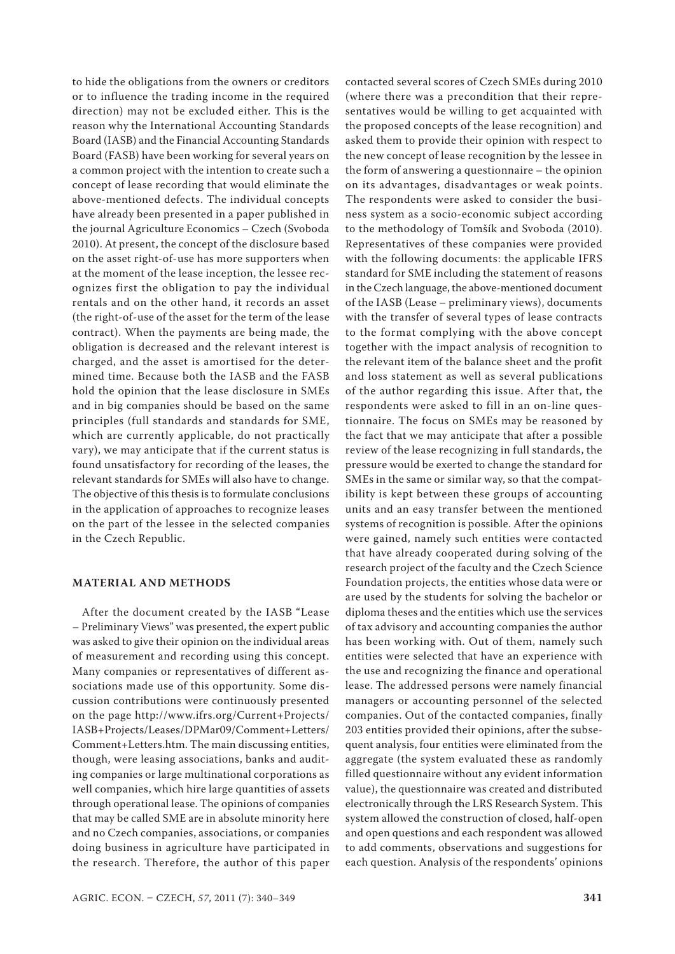to hide the obligations from the owners or creditors or to influence the trading income in the required direction) may not be excluded either. This is the reason why the International Accounting Standards Board (IASB) and the Financial Accounting Standards Board (FASB) have been working for several years on a common project with the intention to create such a concept of lease recording that would eliminate the above-mentioned defects. The individual concepts have already been presented in a paper published in the journal Agriculture Economics – Czech (Svoboda 2010). At present, the concept of the disclosure based on the asset right-of-use has more supporters when at the moment of the lease inception, the lessee recognizes first the obligation to pay the individual rentals and on the other hand, it records an asset (the right-of-use of the asset for the term of the lease contract). When the payments are being made, the obligation is decreased and the relevant interest is charged, and the asset is amortised for the determined time. Because both the IASB and the FASB hold the opinion that the lease disclosure in SMEs and in big companies should be based on the same principles (full standards and standards for SME, which are currently applicable, do not practically vary), we may anticipate that if the current status is found unsatisfactory for recording of the leases, the relevant standards for SMEs will also have to change. The objective of this thesis is to formulate conclusions in the application of approaches to recognize leases on the part of the lessee in the selected companies in the Czech Republic.

#### **MATERIAL AND METHODS**

After the document created by the IASB "Lease – Preliminary Views" was presented, the expert public was asked to give their opinion on the individual areas of measurement and recording using this concept. Many companies or representatives of different associations made use of this opportunity. Some discussion contributions were continuously presented on the page http://www.ifrs.org/Current+Projects/ IASB+Projects/Leases/DPMar09/Comment+Letters/ Comment+Letters.htm. The main discussing entities, though, were leasing associations, banks and auditing companies or large multinational corporations as well companies, which hire large quantities of assets through operational lease. The opinions of companies that may be called SME are in absolute minority here and no Czech companies, associations, or companies doing business in agriculture have participated in the research. Therefore, the author of this paper

Agric. Econ. – Czech, *57*, 2011 (7): 340–349 **341**

contacted several scores of Czech SMEs during 2010 (where there was a precondition that their representatives would be willing to get acquainted with the proposed concepts of the lease recognition) and asked them to provide their opinion with respect to the new concept of lease recognition by the lessee in the form of answering a questionnaire – the opinion on its advantages, disadvantages or weak points. The respondents were asked to consider the business system as a socio-economic subject according to the methodology of Tomšík and Svoboda (2010). Representatives of these companies were provided with the following documents: the applicable IFRS standard for SME including the statement of reasons in the Czech language, the above-mentioned document of the IASB (Lease – preliminary views), documents with the transfer of several types of lease contracts to the format complying with the above concept together with the impact analysis of recognition to the relevant item of the balance sheet and the profit and loss statement as well as several publications of the author regarding this issue. After that, the respondents were asked to fill in an on-line questionnaire. The focus on SMEs may be reasoned by the fact that we may anticipate that after a possible review of the lease recognizing in full standards, the pressure would be exerted to change the standard for SMEs in the same or similar way, so that the compatibility is kept between these groups of accounting units and an easy transfer between the mentioned systems of recognition is possible. After the opinions were gained, namely such entities were contacted that have already cooperated during solving of the research project of the faculty and the Czech Science Foundation projects, the entities whose data were or are used by the students for solving the bachelor or diploma theses and the entities which use the services of tax advisory and accounting companies the author has been working with. Out of them, namely such entities were selected that have an experience with the use and recognizing the finance and operational lease. The addressed persons were namely financial managers or accounting personnel of the selected companies. Out of the contacted companies, finally 203 entities provided their opinions, after the subsequent analysis, four entities were eliminated from the aggregate (the system evaluated these as randomly filled questionnaire without any evident information value), the questionnaire was created and distributed electronically through the LRS Research System. This system allowed the construction of closed, half-open and open questions and each respondent was allowed to add comments, observations and suggestions for each question. Analysis of the respondents' opinions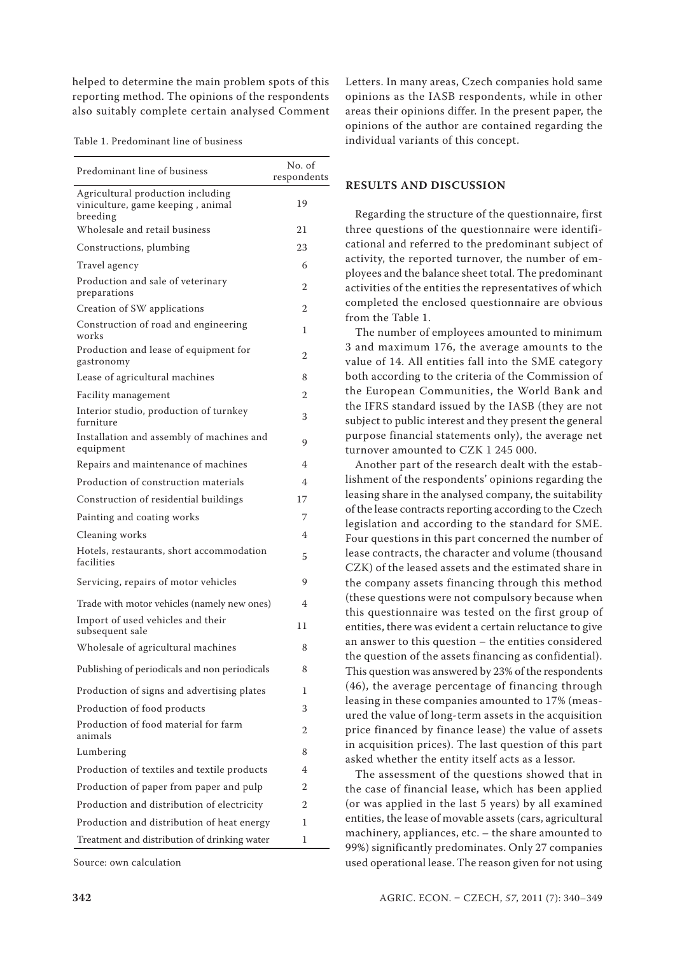helped to determine the main problem spots of this reporting method. The opinions of the respondents also suitably complete certain analysed Comment

Table 1. Predominant line of business

| Predominant line of business                                                       | No. of<br>respondents |
|------------------------------------------------------------------------------------|-----------------------|
| Agricultural production including<br>viniculture, game keeping, animal<br>breeding | 19                    |
| Wholesale and retail business                                                      | 21                    |
| Constructions, plumbing                                                            | 23                    |
| Travel agency                                                                      | 6                     |
| Production and sale of veterinary<br>preparations                                  | 2                     |
| Creation of SW applications                                                        | 2                     |
| Construction of road and engineering<br>works                                      | 1                     |
| Production and lease of equipment for<br>gastronomy                                | 2                     |
| Lease of agricultural machines                                                     | 8                     |
| Facility management                                                                | 2                     |
| Interior studio, production of turnkey<br>furniture                                | 3                     |
| Installation and assembly of machines and<br>equipment                             | 9                     |
| Repairs and maintenance of machines                                                | 4                     |
| Production of construction materials                                               | 4                     |
| Construction of residential buildings                                              | 17                    |
| Painting and coating works                                                         | 7                     |
| Cleaning works                                                                     | 4                     |
| Hotels, restaurants, short accommodation<br>facilities                             | 5                     |
| Servicing, repairs of motor vehicles                                               | 9                     |
| Trade with motor vehicles (namely new ones)                                        | 4                     |
| Import of used vehicles and their<br>subsequent sale                               | 11                    |
| Wholesale of agricultural machines                                                 | 8                     |
| Publishing of periodicals and non periodicals                                      | 8                     |
| Production of signs and advertising plates                                         | 1                     |
| Production of food products                                                        | 3                     |
| Production of food material for farm<br>animals                                    | 2                     |
| Lumbering                                                                          | 8                     |
| Production of textiles and textile products                                        | 4                     |
| Production of paper from paper and pulp                                            | 2                     |
| Production and distribution of electricity                                         | 2                     |
| Production and distribution of heat energy                                         | 1                     |
| Treatment and distribution of drinking water                                       | 1                     |

Source: own calculation

Letters. In many areas, Czech companies hold same opinions as the IASB respondents, while in other areas their opinions differ. In the present paper, the opinions of the author are contained regarding the individual variants of this concept.

#### **RESULTS AND DISCUSSION**

Regarding the structure of the questionnaire, first three questions of the questionnaire were identificational and referred to the predominant subject of activity, the reported turnover, the number of employees and the balance sheet total. The predominant activities of the entities the representatives of which completed the enclosed questionnaire are obvious from the Table 1.

The number of employees amounted to minimum 3 and maximum 176, the average amounts to the value of 14. All entities fall into the SME category both according to the criteria of the Commission of the European Communities, the World Bank and the IFRS standard issued by the IASB (they are not subject to public interest and they present the general purpose financial statements only), the average net turnover amounted to CZK 1 245 000.

Another part of the research dealt with the establishment of the respondents' opinions regarding the leasing share in the analysed company, the suitability of the lease contracts reporting according to the Czech legislation and according to the standard for SME. Four questions in this part concerned the number of lease contracts, the character and volume (thousand CZK) of the leased assets and the estimated share in the company assets financing through this method (these questions were not compulsory because when this questionnaire was tested on the first group of entities, there was evident a certain reluctance to give an answer to this question – the entities considered the question of the assets financing as confidential). This question was answered by 23% of the respondents (46), the average percentage of financing through leasing in these companies amounted to 17% (measured the value of long-term assets in the acquisition price financed by finance lease) the value of assets in acquisition prices). The last question of this part asked whether the entity itself acts as a lessor.

The assessment of the questions showed that in the case of financial lease, which has been applied (or was applied in the last 5 years) by all examined entities, the lease of movable assets (cars, agricultural machinery, appliances, etc. – the share amounted to 99%) significantly predominates. Only 27 companies used operational lease. The reason given for not using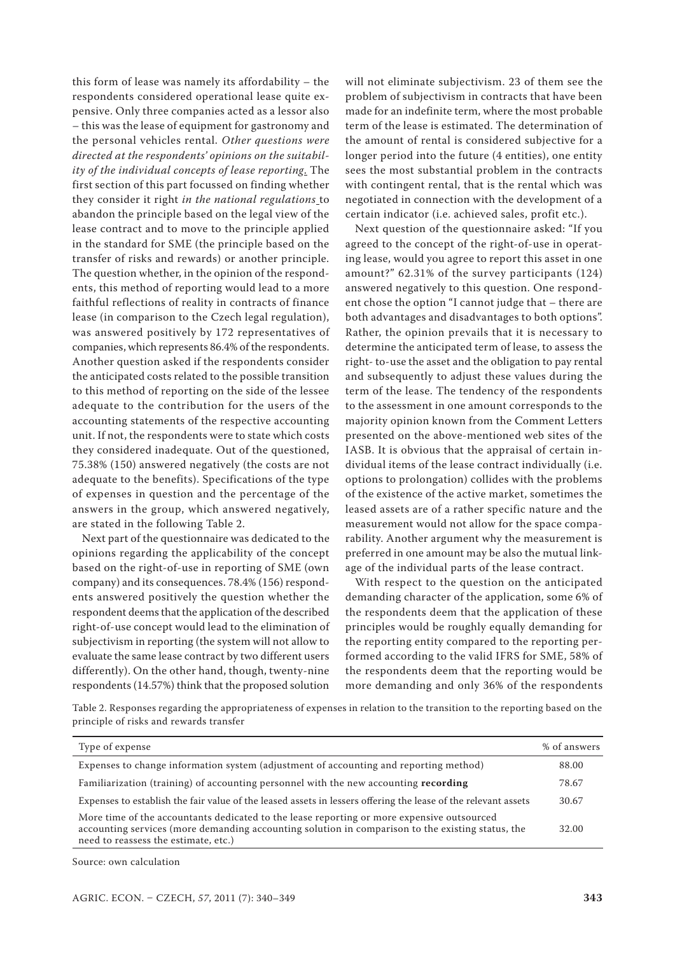this form of lease was namely its affordability – the respondents considered operational lease quite expensive. Only three companies acted as a lessor also – this was the lease of equipment for gastronomy and the personal vehicles rental. *Other questions were directed at the respondents' opinions on the suitability of the individual concepts of lease reporting*. The first section of this part focussed on finding whether they consider it right *in the national regulations* to abandon the principle based on the legal view of the lease contract and to move to the principle applied in the standard for SME (the principle based on the transfer of risks and rewards) or another principle. The question whether, in the opinion of the respondents, this method of reporting would lead to a more faithful reflections of reality in contracts of finance lease (in comparison to the Czech legal regulation), was answered positively by 172 representatives of companies, which represents 86.4% of the respondents. Another question asked if the respondents consider the anticipated costs related to the possible transition to this method of reporting on the side of the lessee adequate to the contribution for the users of the accounting statements of the respective accounting unit. If not, the respondents were to state which costs they considered inadequate. Out of the questioned, 75.38% (150) answered negatively (the costs are not adequate to the benefits). Specifications of the type of expenses in question and the percentage of the answers in the group, which answered negatively, are stated in the following Table 2.

Next part of the questionnaire was dedicated to the opinions regarding the applicability of the concept based on the right-of-use in reporting of SME (own company) and its consequences. 78.4% (156) respondents answered positively the question whether the respondent deems that the application of the described right-of-use concept would lead to the elimination of subjectivism in reporting (the system will not allow to evaluate the same lease contract by two different users differently). On the other hand, though, twenty-nine respondents (14.57%) think that the proposed solution will not eliminate subjectivism. 23 of them see the problem of subjectivism in contracts that have been made for an indefinite term, where the most probable term of the lease is estimated. The determination of the amount of rental is considered subjective for a longer period into the future (4 entities), one entity sees the most substantial problem in the contracts with contingent rental, that is the rental which was negotiated in connection with the development of a certain indicator (i.e. achieved sales, profit etc.).

Next question of the questionnaire asked: "If you agreed to the concept of the right-of-use in operating lease, would you agree to report this asset in one amount?" 62.31% of the survey participants (124) answered negatively to this question. One respondent chose the option "I cannot judge that – there are both advantages and disadvantages to both options". Rather, the opinion prevails that it is necessary to determine the anticipated term of lease, to assess the right- to-use the asset and the obligation to pay rental and subsequently to adjust these values during the term of the lease. The tendency of the respondents to the assessment in one amount corresponds to the majority opinion known from the Comment Letters presented on the above-mentioned web sites of the IASB. It is obvious that the appraisal of certain individual items of the lease contract individually (i.e. options to prolongation) collides with the problems of the existence of the active market, sometimes the leased assets are of a rather specific nature and the measurement would not allow for the space comparability. Another argument why the measurement is preferred in one amount may be also the mutual linkage of the individual parts of the lease contract.

With respect to the question on the anticipated demanding character of the application, some 6% of the respondents deem that the application of these principles would be roughly equally demanding for the reporting entity compared to the reporting performed according to the valid IFRS for SME, 58% of the respondents deem that the reporting would be more demanding and only 36% of the respondents

Table 2. Responses regarding the appropriateness of expenses in relation to the transition to the reporting based on the principle of risks and rewards transfer

| Type of expense                                                                                                                                                                                                                         | % of answers |
|-----------------------------------------------------------------------------------------------------------------------------------------------------------------------------------------------------------------------------------------|--------------|
| Expenses to change information system (adjustment of accounting and reporting method)                                                                                                                                                   | 88.00        |
| Familiarization (training) of accounting personnel with the new accounting recording                                                                                                                                                    | 78.67        |
| Expenses to establish the fair value of the leased assets in lessers offering the lease of the relevant assets                                                                                                                          | 30.67        |
| More time of the accountants dedicated to the lease reporting or more expensive outsourced<br>accounting services (more demanding accounting solution in comparison to the existing status, the<br>need to reassess the estimate, etc.) | 32.00        |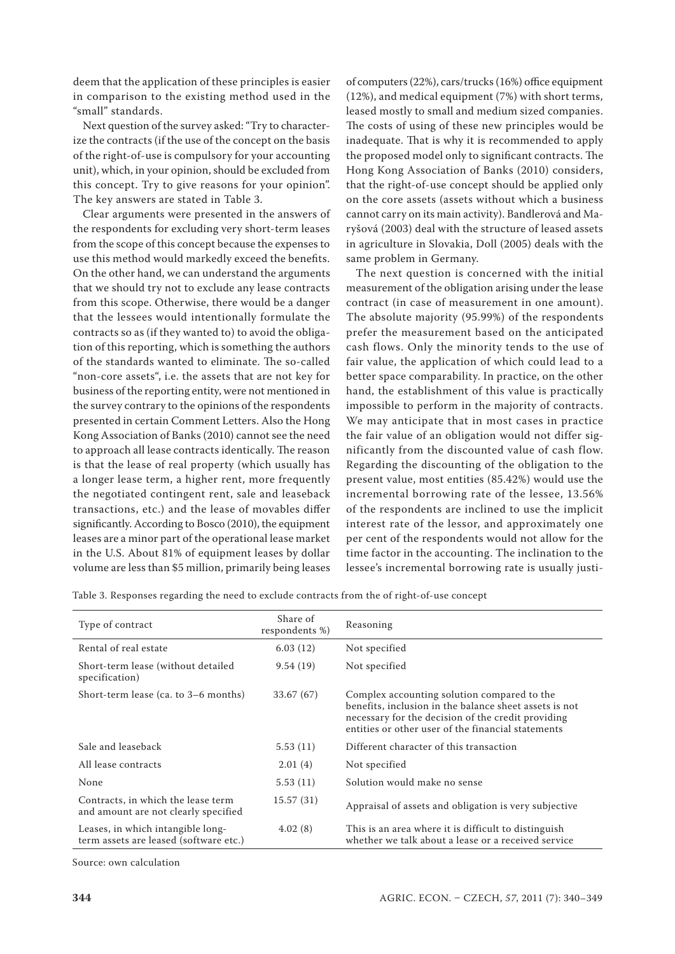deem that the application of these principles is easier in comparison to the existing method used in the "small" standards.

Next question of the survey asked: "Try to characterize the contracts (if the use of the concept on the basis of the right-of-use is compulsory for your accounting unit), which, in your opinion, should be excluded from this concept. Try to give reasons for your opinion". The key answers are stated in Table 3.

Clear arguments were presented in the answers of the respondents for excluding very short-term leases from the scope of this concept because the expenses to use this method would markedly exceed the benefits. On the other hand, we can understand the arguments that we should try not to exclude any lease contracts from this scope. Otherwise, there would be a danger that the lessees would intentionally formulate the contracts so as (if they wanted to) to avoid the obligation of this reporting, which is something the authors of the standards wanted to eliminate. The so-called "non-core assets", i.e. the assets that are not key for business of the reporting entity, were not mentioned in the survey contrary to the opinions of the respondents presented in certain Comment Letters. Also the Hong Kong Association of Banks (2010) cannot see the need to approach all lease contracts identically. The reason is that the lease of real property (which usually has a longer lease term, a higher rent, more frequently the negotiated contingent rent, sale and leaseback transactions, etc.) and the lease of movables differ significantly. According to Bosco (2010), the equipment leases are a minor part of the operational lease market in the U.S. About 81% of equipment leases by dollar volume are less than \$5 million, primarily being leases

of computers (22%), cars/trucks (16%) office equipment (12%), and medical equipment (7%) with short terms, leased mostly to small and medium sized companies. The costs of using of these new principles would be inadequate. That is why it is recommended to apply the proposed model only to significant contracts. The Hong Kong Association of Banks (2010) considers, that the right-of-use concept should be applied only on the core assets (assets without which a business cannot carry on its main activity). Bandlerová and Maryšová (2003) deal with the structure of leased assets in agriculture in Slovakia, Doll (2005) deals with the same problem in Germany.

The next question is concerned with the initial measurement of the obligation arising under the lease contract (in case of measurement in one amount). The absolute majority (95.99%) of the respondents prefer the measurement based on the anticipated cash flows. Only the minority tends to the use of fair value, the application of which could lead to a better space comparability. In practice, on the other hand, the establishment of this value is practically impossible to perform in the majority of contracts. We may anticipate that in most cases in practice the fair value of an obligation would not differ significantly from the discounted value of cash flow. Regarding the discounting of the obligation to the present value, most entities (85.42%) would use the incremental borrowing rate of the lessee, 13.56% of the respondents are inclined to use the implicit interest rate of the lessor, and approximately one per cent of the respondents would not allow for the time factor in the accounting. The inclination to the lessee's incremental borrowing rate is usually justi-

Table 3. Responses regarding the need to exclude contracts from the of right-of-use concept

| Type of contract                                                            | Share of<br>respondents %) | Reasoning                                                                                                                                                                                                         |
|-----------------------------------------------------------------------------|----------------------------|-------------------------------------------------------------------------------------------------------------------------------------------------------------------------------------------------------------------|
| Rental of real estate                                                       | 6.03(12)                   | Not specified                                                                                                                                                                                                     |
| Short-term lease (without detailed<br>specification)                        | 9.54(19)                   | Not specified                                                                                                                                                                                                     |
| Short-term lease (ca. to 3–6 months)                                        | 33.67 (67)                 | Complex accounting solution compared to the<br>benefits, inclusion in the balance sheet assets is not<br>necessary for the decision of the credit providing<br>entities or other user of the financial statements |
| Sale and leaseback                                                          | 5.53(11)                   | Different character of this transaction                                                                                                                                                                           |
| All lease contracts                                                         | 2.01(4)                    | Not specified                                                                                                                                                                                                     |
| None                                                                        | 5.53(11)                   | Solution would make no sense                                                                                                                                                                                      |
| Contracts, in which the lease term<br>and amount are not clearly specified  | 15.57(31)                  | Appraisal of assets and obligation is very subjective                                                                                                                                                             |
| Leases, in which intangible long-<br>term assets are leased (software etc.) | 4.02(8)                    | This is an area where it is difficult to distinguish<br>whether we talk about a lease or a received service                                                                                                       |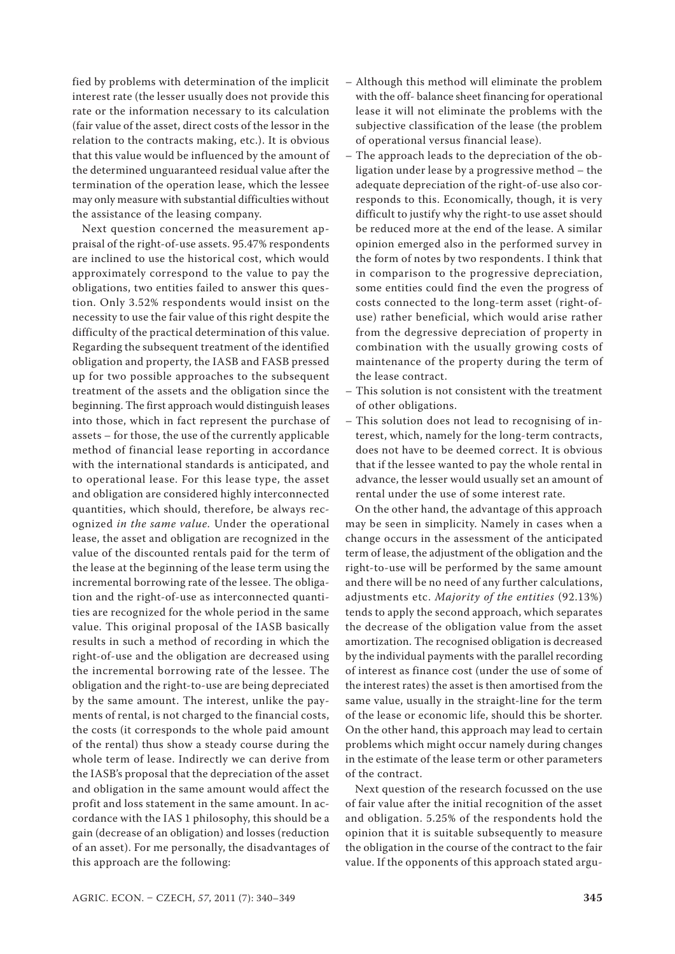fied by problems with determination of the implicit interest rate (the lesser usually does not provide this rate or the information necessary to its calculation (fair value of the asset, direct costs of the lessor in the relation to the contracts making, etc.). It is obvious that this value would be influenced by the amount of the determined unguaranteed residual value after the termination of the operation lease, which the lessee may only measure with substantial difficulties without the assistance of the leasing company.

Next question concerned the measurement appraisal of the right-of-use assets. 95.47% respondents are inclined to use the historical cost, which would approximately correspond to the value to pay the obligations, two entities failed to answer this question. Only 3.52% respondents would insist on the necessity to use the fair value of this right despite the difficulty of the practical determination of this value. Regarding the subsequent treatment of the identified obligation and property, the IASB and FASB pressed up for two possible approaches to the subsequent treatment of the assets and the obligation since the beginning. The first approach would distinguish leases into those, which in fact represent the purchase of assets – for those, the use of the currently applicable method of financial lease reporting in accordance with the international standards is anticipated, and to operational lease. For this lease type, the asset and obligation are considered highly interconnected quantities, which should, therefore, be always recognized *in the same value.* Under the operational lease, the asset and obligation are recognized in the value of the discounted rentals paid for the term of the lease at the beginning of the lease term using the incremental borrowing rate of the lessee. The obligation and the right-of-use as interconnected quantities are recognized for the whole period in the same value. This original proposal of the IASB basically results in such a method of recording in which the right-of-use and the obligation are decreased using the incremental borrowing rate of the lessee. The obligation and the right-to-use are being depreciated by the same amount. The interest, unlike the payments of rental, is not charged to the financial costs, the costs (it corresponds to the whole paid amount of the rental) thus show a steady course during the whole term of lease. Indirectly we can derive from the IASB's proposal that the depreciation of the asset and obligation in the same amount would affect the profit and loss statement in the same amount. In accordance with the IAS 1 philosophy, this should be a gain (decrease of an obligation) and losses (reduction of an asset). For me personally, the disadvantages of this approach are the following:

- Although this method will eliminate the problem with the off- balance sheet financing for operational lease it will not eliminate the problems with the subjective classification of the lease (the problem of operational versus financial lease).
- The approach leads to the depreciation of the obligation under lease by a progressive method – the adequate depreciation of the right-of-use also corresponds to this. Economically, though, it is very difficult to justify why the right-to use asset should be reduced more at the end of the lease. A similar opinion emerged also in the performed survey in the form of notes by two respondents. I think that in comparison to the progressive depreciation, some entities could find the even the progress of costs connected to the long-term asset (right-ofuse) rather beneficial, which would arise rather from the degressive depreciation of property in combination with the usually growing costs of maintenance of the property during the term of the lease contract.
- This solution is not consistent with the treatment of other obligations.
- This solution does not lead to recognising of interest, which, namely for the long-term contracts, does not have to be deemed correct. It is obvious that if the lessee wanted to pay the whole rental in advance, the lesser would usually set an amount of rental under the use of some interest rate.

On the other hand, the advantage of this approach may be seen in simplicity. Namely in cases when a change occurs in the assessment of the anticipated term of lease, the adjustment of the obligation and the right-to-use will be performed by the same amount and there will be no need of any further calculations, adjustments etc. *Majority of the entities* (92.13%) tends to apply the second approach, which separates the decrease of the obligation value from the asset amortization. The recognised obligation is decreased by the individual payments with the parallel recording of interest as finance cost (under the use of some of the interest rates) the asset is then amortised from the same value, usually in the straight-line for the term of the lease or economic life, should this be shorter. On the other hand, this approach may lead to certain problems which might occur namely during changes in the estimate of the lease term or other parameters of the contract.

Next question of the research focussed on the use of fair value after the initial recognition of the asset and obligation. 5.25% of the respondents hold the opinion that it is suitable subsequently to measure the obligation in the course of the contract to the fair value. If the opponents of this approach stated argu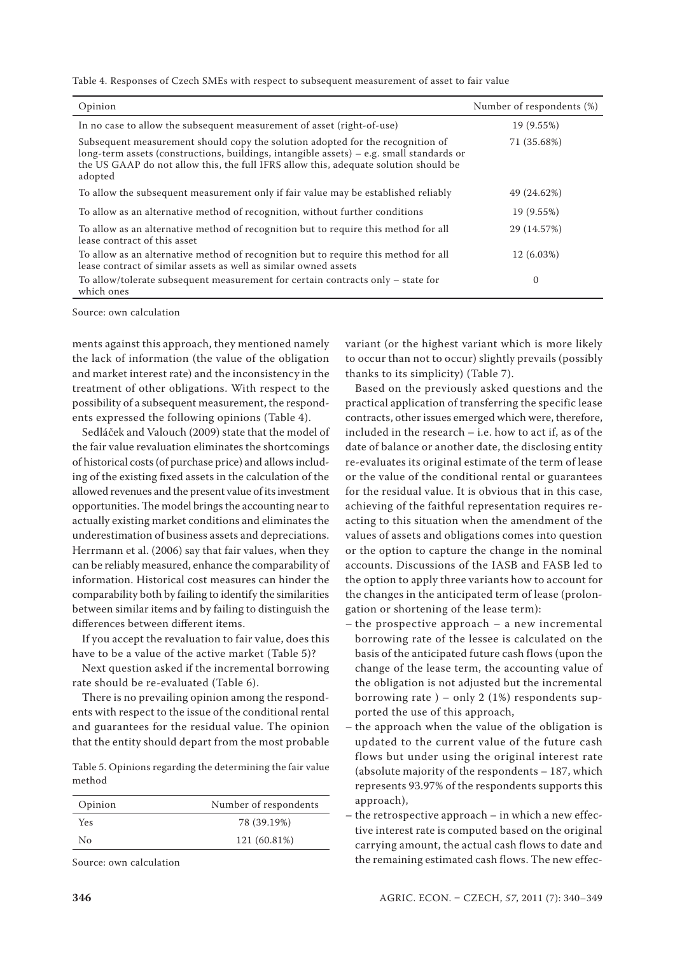Table 4. Responses of Czech SMEs with respect to subsequent measurement of asset to fair value

| Opinion                                                                                                                                                                                                                                                                         | Number of respondents (%) |
|---------------------------------------------------------------------------------------------------------------------------------------------------------------------------------------------------------------------------------------------------------------------------------|---------------------------|
| In no case to allow the subsequent measurement of asset (right-of-use)                                                                                                                                                                                                          | 19 (9.55%)                |
| Subsequent measurement should copy the solution adopted for the recognition of<br>$long-term$ assets (constructions, buildings, intangible assets) – e.g. small standards or<br>the US GAAP do not allow this, the full IFRS allow this, adequate solution should be<br>adopted | 71 (35.68%)               |
| To allow the subsequent measurement only if fair value may be established reliably                                                                                                                                                                                              | 49 (24.62%)               |
| To allow as an alternative method of recognition, without further conditions                                                                                                                                                                                                    | 19 (9.55%)                |
| To allow as an alternative method of recognition but to require this method for all<br>lease contract of this asset                                                                                                                                                             | 29 (14.57%)               |
| To allow as an alternative method of recognition but to require this method for all<br>lease contract of similar assets as well as similar owned assets                                                                                                                         | 12 (6.03%)                |
| To allow/tolerate subsequent measurement for certain contracts only $-$ state for<br>which ones                                                                                                                                                                                 | 0                         |

Source: own calculation

ments against this approach, they mentioned namely the lack of information (the value of the obligation and market interest rate) and the inconsistency in the treatment of other obligations. With respect to the possibility of a subsequent measurement, the respondents expressed the following opinions (Table 4).

Sedláček and Valouch (2009) state that the model of the fair value revaluation eliminates the shortcomings of historical costs (of purchase price) and allows including of the existing fixed assets in the calculation of the allowed revenues and the present value of its investment opportunities. The model brings the accounting near to actually existing market conditions and eliminates the underestimation of business assets and depreciations. Herrmann et al. (2006) say that fair values, when they can be reliably measured, enhance the comparability of information. Historical cost measures can hinder the comparability both by failing to identify the similarities between similar items and by failing to distinguish the differences between different items.

If you accept the revaluation to fair value, does this have to be a value of the active market (Table 5)?

Next question asked if the incremental borrowing rate should be re-evaluated (Table 6).

There is no prevailing opinion among the respondents with respect to the issue of the conditional rental and guarantees for the residual value. The opinion that the entity should depart from the most probable

Table 5. Opinions regarding the determining the fair value method

| Opinion | Number of respondents |
|---------|-----------------------|
| Yes     | 78 (39.19%)           |
| Nο      | 121 (60.81%)          |

Source: own calculation

variant (or the highest variant which is more likely to occur than not to occur) slightly prevails (possibly thanks to its simplicity) (Table 7).

Based on the previously asked questions and the practical application of transferring the specific lease contracts, other issues emerged which were, therefore, included in the research – i.e. how to act if, as of the date of balance or another date, the disclosing entity re-evaluates its original estimate of the term of lease or the value of the conditional rental or guarantees for the residual value. It is obvious that in this case, achieving of the faithful representation requires reacting to this situation when the amendment of the values of assets and obligations comes into question or the option to capture the change in the nominal accounts. Discussions of the IASB and FASB led to the option to apply three variants how to account for the changes in the anticipated term of lease (prolongation or shortening of the lease term):

- the prospective approach a new incremental borrowing rate of the lessee is calculated on the basis of the anticipated future cash flows (upon the change of the lease term, the accounting value of the obligation is not adjusted but the incremental borrowing rate  $)$  – only 2 (1%) respondents supported the use of this approach,
- the approach when the value of the obligation is updated to the current value of the future cash flows but under using the original interest rate (absolute majority of the respondents – 187, which represents 93.97% of the respondents supports this approach),
- the retrospective approach in which a new effective interest rate is computed based on the original carrying amount, the actual cash flows to date and the remaining estimated cash flows. The new effec-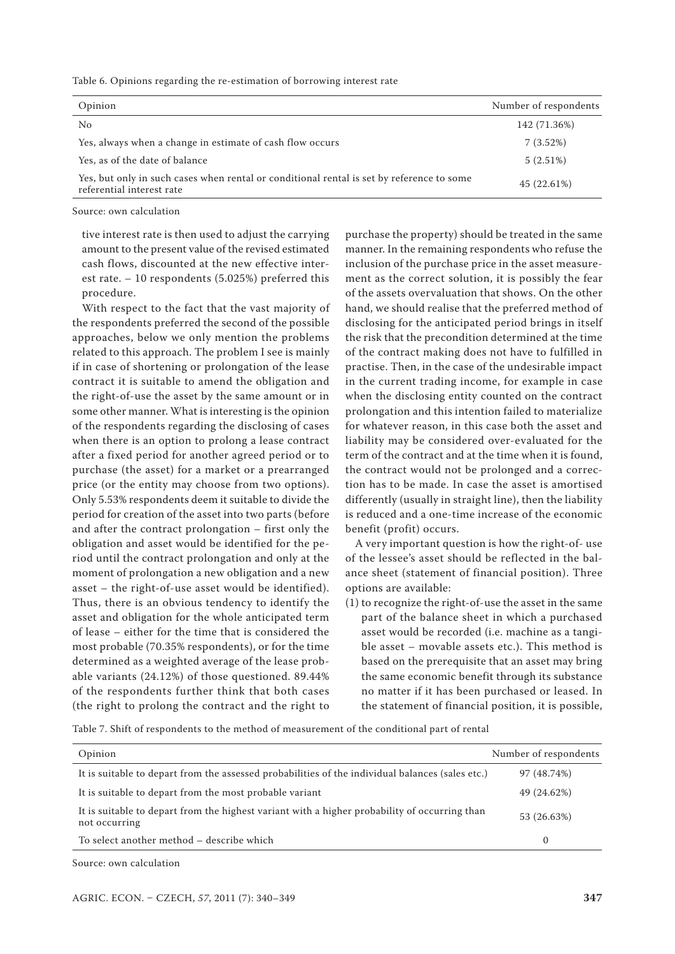Table 6. Opinions regarding the re-estimation of borrowing interest rate

| Opinion                                                                                                                | Number of respondents |
|------------------------------------------------------------------------------------------------------------------------|-----------------------|
| No                                                                                                                     | 142 (71.36%)          |
| Yes, always when a change in estimate of cash flow occurs                                                              | $7(3.52\%)$           |
| Yes, as of the date of balance                                                                                         | $5(2.51\%)$           |
| Yes, but only in such cases when rental or conditional rental is set by reference to some<br>referential interest rate | 45 (22.61%)           |

Source: own calculation

tive interest rate is then used to adjust the carrying amount to the present value of the revised estimated cash flows, discounted at the new effective interest rate. – 10 respondents (5.025%) preferred this procedure.

With respect to the fact that the vast majority of the respondents preferred the second of the possible approaches, below we only mention the problems related to this approach. The problem I see is mainly if in case of shortening or prolongation of the lease contract it is suitable to amend the obligation and the right-of-use the asset by the same amount or in some other manner. What is interesting is the opinion of the respondents regarding the disclosing of cases when there is an option to prolong a lease contract after a fixed period for another agreed period or to purchase (the asset) for a market or a prearranged price (or the entity may choose from two options). Only 5.53% respondents deem it suitable to divide the period for creation of the asset into two parts (before and after the contract prolongation – first only the obligation and asset would be identified for the period until the contract prolongation and only at the moment of prolongation a new obligation and a new asset – the right-of-use asset would be identified). Thus, there is an obvious tendency to identify the asset and obligation for the whole anticipated term of lease – either for the time that is considered the most probable (70.35% respondents), or for the time determined as a weighted average of the lease probable variants (24.12%) of those questioned. 89.44% of the respondents further think that both cases (the right to prolong the contract and the right to

purchase the property) should be treated in the same manner. In the remaining respondents who refuse the inclusion of the purchase price in the asset measurement as the correct solution, it is possibly the fear of the assets overvaluation that shows. On the other hand, we should realise that the preferred method of disclosing for the anticipated period brings in itself the risk that the precondition determined at the time of the contract making does not have to fulfilled in practise. Then, in the case of the undesirable impact in the current trading income, for example in case when the disclosing entity counted on the contract prolongation and this intention failed to materialize for whatever reason, in this case both the asset and liability may be considered over-evaluated for the term of the contract and at the time when it is found, the contract would not be prolonged and a correction has to be made. In case the asset is amortised differently (usually in straight line), then the liability is reduced and a one-time increase of the economic benefit (profit) occurs.

A very important question is how the right-of- use of the lessee's asset should be reflected in the balance sheet (statement of financial position). Three options are available:

(1) to recognize the right-of-use the asset in the same part of the balance sheet in which a purchased asset would be recorded (i.e. machine as a tangible asset – movable assets etc.). This method is based on the prerequisite that an asset may bring the same economic benefit through its substance no matter if it has been purchased or leased. In the statement of financial position, it is possible,

Table 7. Shift of respondents to the method of measurement of the conditional part of rental

| Opinion                                                                                                        | Number of respondents |
|----------------------------------------------------------------------------------------------------------------|-----------------------|
| It is suitable to depart from the assessed probabilities of the individual balances (sales etc.)               | 97 (48.74%)           |
| It is suitable to depart from the most probable variant                                                        | 49 (24.62%)           |
| It is suitable to depart from the highest variant with a higher probability of occurring than<br>not occurring | 53 (26.63%)           |
| To select another method – describe which                                                                      | $\Omega$              |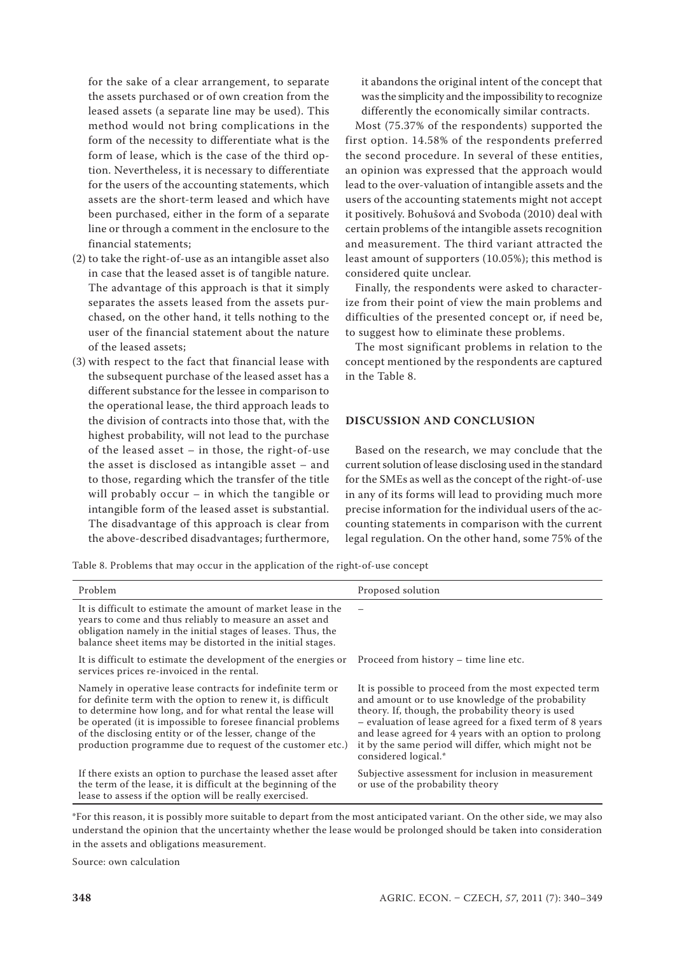for the sake of a clear arrangement, to separate the assets purchased or of own creation from the leased assets (a separate line may be used). This method would not bring complications in the form of the necessity to differentiate what is the form of lease, which is the case of the third option. Nevertheless, it is necessary to differentiate for the users of the accounting statements, which assets are the short-term leased and which have been purchased, either in the form of a separate line or through a comment in the enclosure to the financial statements;

- (2) to take the right-of-use as an intangible asset also in case that the leased asset is of tangible nature. The advantage of this approach is that it simply separates the assets leased from the assets purchased, on the other hand, it tells nothing to the user of the financial statement about the nature of the leased assets;
- (3) with respect to the fact that financial lease with the subsequent purchase of the leased asset has a different substance for the lessee in comparison to the operational lease, the third approach leads to the division of contracts into those that, with the highest probability, will not lead to the purchase of the leased asset – in those, the right-of-use the asset is disclosed as intangible asset – and to those, regarding which the transfer of the title will probably occur – in which the tangible or intangible form of the leased asset is substantial. The disadvantage of this approach is clear from the above-described disadvantages; furthermore,

it abandons the original intent of the concept that was the simplicity and the impossibility to recognize differently the economically similar contracts.

Most (75.37% of the respondents) supported the first option. 14.58% of the respondents preferred the second procedure. In several of these entities, an opinion was expressed that the approach would lead to the over-valuation of intangible assets and the users of the accounting statements might not accept it positively. Bohušová and Svoboda (2010) deal with certain problems of the intangible assets recognition and measurement. The third variant attracted the least amount of supporters (10.05%); this method is considered quite unclear.

Finally, the respondents were asked to characterize from their point of view the main problems and difficulties of the presented concept or, if need be, to suggest how to eliminate these problems.

The most significant problems in relation to the concept mentioned by the respondents are captured in the Table 8.

#### **DISCUSSION AND CONCLUSION**

Based on the research, we may conclude that the current solution of lease disclosing used in the standard for the SMEs as well as the concept of the right-of-use in any of its forms will lead to providing much more precise information for the individual users of the accounting statements in comparison with the current legal regulation. On the other hand, some 75% of the

Table 8. Problems that may occur in the application of the right-of-use concept

| Problem                                                                                                                                                                                                                                                                                                                                                                        | Proposed solution                                                                                                                                                                                                                                                                                                                                                       |
|--------------------------------------------------------------------------------------------------------------------------------------------------------------------------------------------------------------------------------------------------------------------------------------------------------------------------------------------------------------------------------|-------------------------------------------------------------------------------------------------------------------------------------------------------------------------------------------------------------------------------------------------------------------------------------------------------------------------------------------------------------------------|
| It is difficult to estimate the amount of market lease in the<br>years to come and thus reliably to measure an asset and<br>obligation namely in the initial stages of leases. Thus, the<br>balance sheet items may be distorted in the initial stages.                                                                                                                        |                                                                                                                                                                                                                                                                                                                                                                         |
| It is difficult to estimate the development of the energies or<br>services prices re-invoiced in the rental.                                                                                                                                                                                                                                                                   | Proceed from history – time line etc.                                                                                                                                                                                                                                                                                                                                   |
| Namely in operative lease contracts for indefinite term or<br>for definite term with the option to renew it, is difficult<br>to determine how long, and for what rental the lease will<br>be operated (it is impossible to foresee financial problems<br>of the disclosing entity or of the lesser, change of the<br>production programme due to request of the customer etc.) | It is possible to proceed from the most expected term<br>and amount or to use knowledge of the probability<br>theory. If, though, the probability theory is used<br>- evaluation of lease agreed for a fixed term of 8 years<br>and lease agreed for 4 years with an option to prolong<br>it by the same period will differ, which might not be<br>considered logical.* |
| If there exists an option to purchase the leased asset after<br>the term of the lease, it is difficult at the beginning of the<br>lease to assess if the option will be really exercised.                                                                                                                                                                                      | Subjective assessment for inclusion in measurement<br>or use of the probability theory                                                                                                                                                                                                                                                                                  |
|                                                                                                                                                                                                                                                                                                                                                                                |                                                                                                                                                                                                                                                                                                                                                                         |

\*For this reason, it is possibly more suitable to depart from the most anticipated variant. On the other side, we may also understand the opinion that the uncertainty whether the lease would be prolonged should be taken into consideration in the assets and obligations measurement.